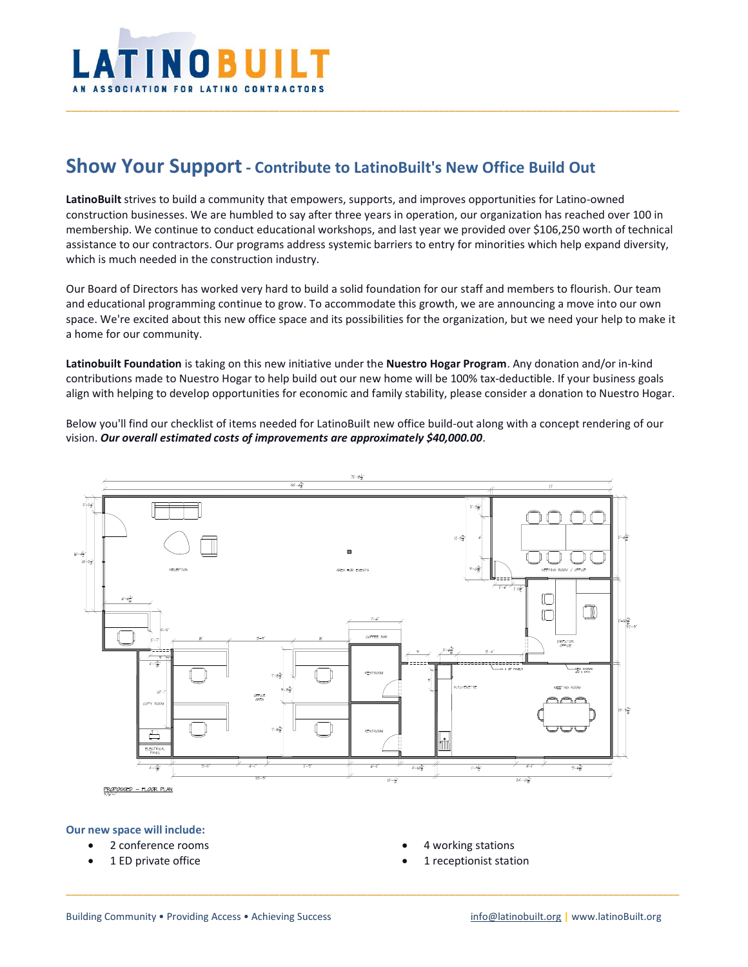

# **Show Your Support- Contribute to LatinoBuilt's New Office Build Out**

**LatinoBuilt** strives to build a community that empowers, supports, and improves opportunities for Latino-owned construction businesses. We are humbled to say after three years in operation, our organization has reached over 100 in membership. We continue to conduct educational workshops, and last year we provided over \$106,250 worth of technical assistance to our contractors. Our programs address systemic barriers to entry for minorities which help expand diversity, which is much needed in the construction industry.

\_\_\_\_\_\_\_\_\_\_\_\_\_\_\_\_\_\_\_\_\_\_\_\_\_\_\_\_\_\_\_\_\_\_\_\_\_\_\_\_\_\_\_\_\_\_\_\_\_\_\_\_\_\_\_\_\_\_\_\_\_\_\_\_\_\_\_\_\_\_\_\_\_\_\_\_\_\_\_\_\_\_\_\_\_\_\_\_\_\_\_\_\_\_\_\_\_\_\_\_\_\_\_\_\_\_\_\_\_\_\_\_

Our Board of Directors has worked very hard to build a solid foundation for our staff and members to flourish. Our team and educational programming continue to grow. To accommodate this growth, we are announcing a move into our own space. We're excited about this new office space and its possibilities for the organization, but we need your help to make it a home for our community.

**Latinobuilt Foundation** is taking on this new initiative under the **Nuestro Hogar Program**. Any donation and/or in-kind contributions made to Nuestro Hogar to help build out our new home will be 100% tax-deductible. If your business goals align with helping to develop opportunities for economic and family stability, please consider a donation to Nuestro Hogar.

Below you'll find our checklist of items needed for LatinoBuilt new office build-out along with a concept rendering of our vision. *Our overall estimated costs of improvements are approximately \$40,000.00*.



\_\_\_\_\_\_\_\_\_\_\_\_\_\_\_\_\_\_\_\_\_\_\_\_\_\_\_\_\_\_\_\_\_\_\_\_\_\_\_\_\_\_\_\_\_\_\_\_\_\_\_\_\_\_\_\_\_\_\_\_\_\_\_\_\_\_\_\_\_\_\_\_\_\_\_\_\_\_\_\_\_\_\_\_\_\_\_\_\_\_\_\_\_\_\_\_\_\_\_\_\_\_\_\_\_\_\_\_\_\_\_\_

#### **Our new space will include:**

- 2 conference rooms
- 1 ED private office
- 4 working stations
- 1 receptionist station